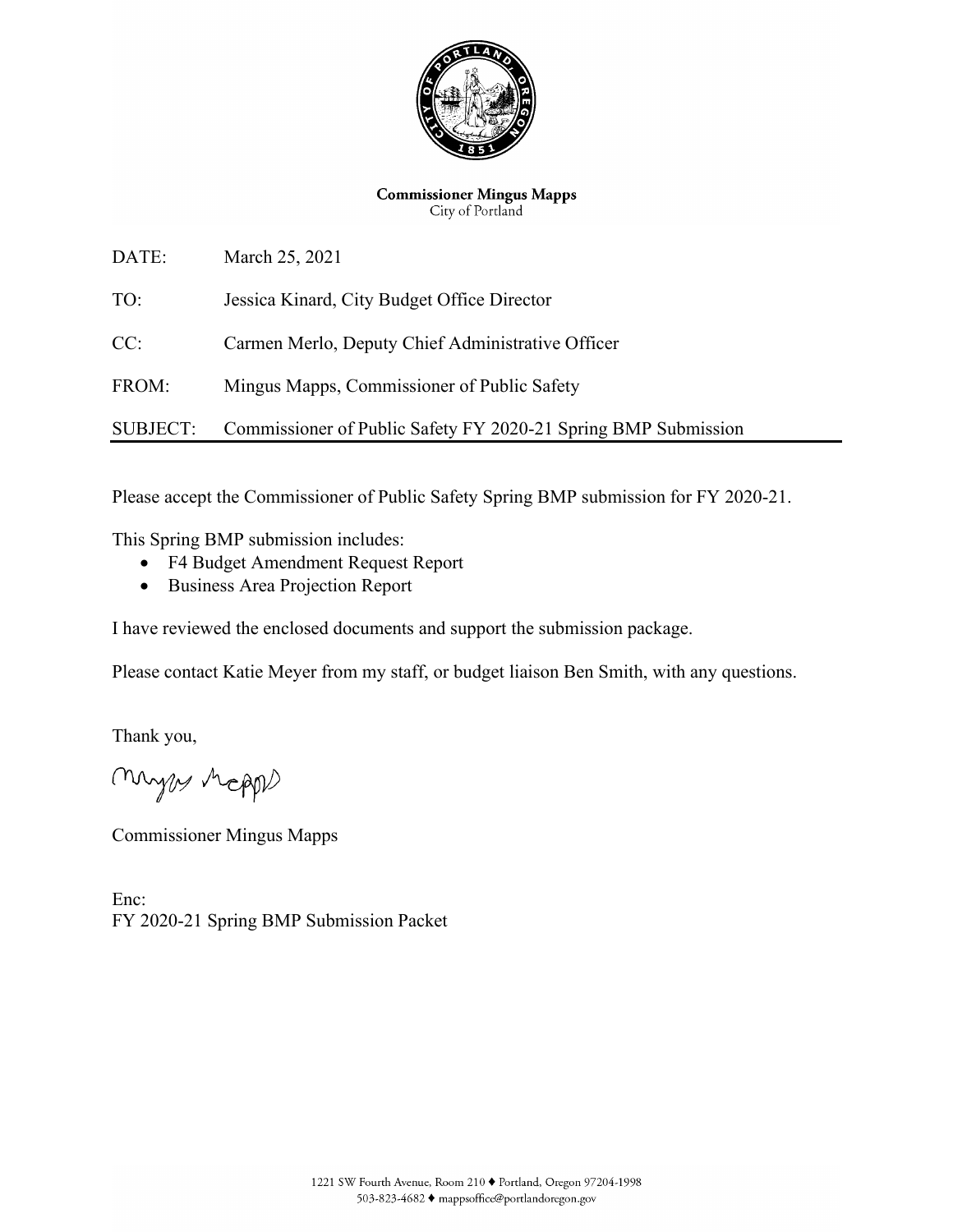

**Commissioner Mingus Mapps** City of Portland

DATE: March 25, 2021 TO: Jessica Kinard, City Budget Office Director CC: Carmen Merlo, Deputy Chief Administrative Officer FROM: Mingus Mapps, Commissioner of Public Safety SUBJECT: Commissioner of Public Safety FY 2020-21 Spring BMP Submission

Please accept the Commissioner of Public Safety Spring BMP submission for FY 2020-21.

This Spring BMP submission includes:

- F4 Budget Amendment Request Report
- Business Area Projection Report

I have reviewed the enclosed documents and support the submission package.

Please contact Katie Meyer from my staff, or budget liaison Ben Smith, with any questions.

Thank you,

myes Mapps

Commissioner Mingus Mapps

Enc: FY 2020-21 Spring BMP Submission Packet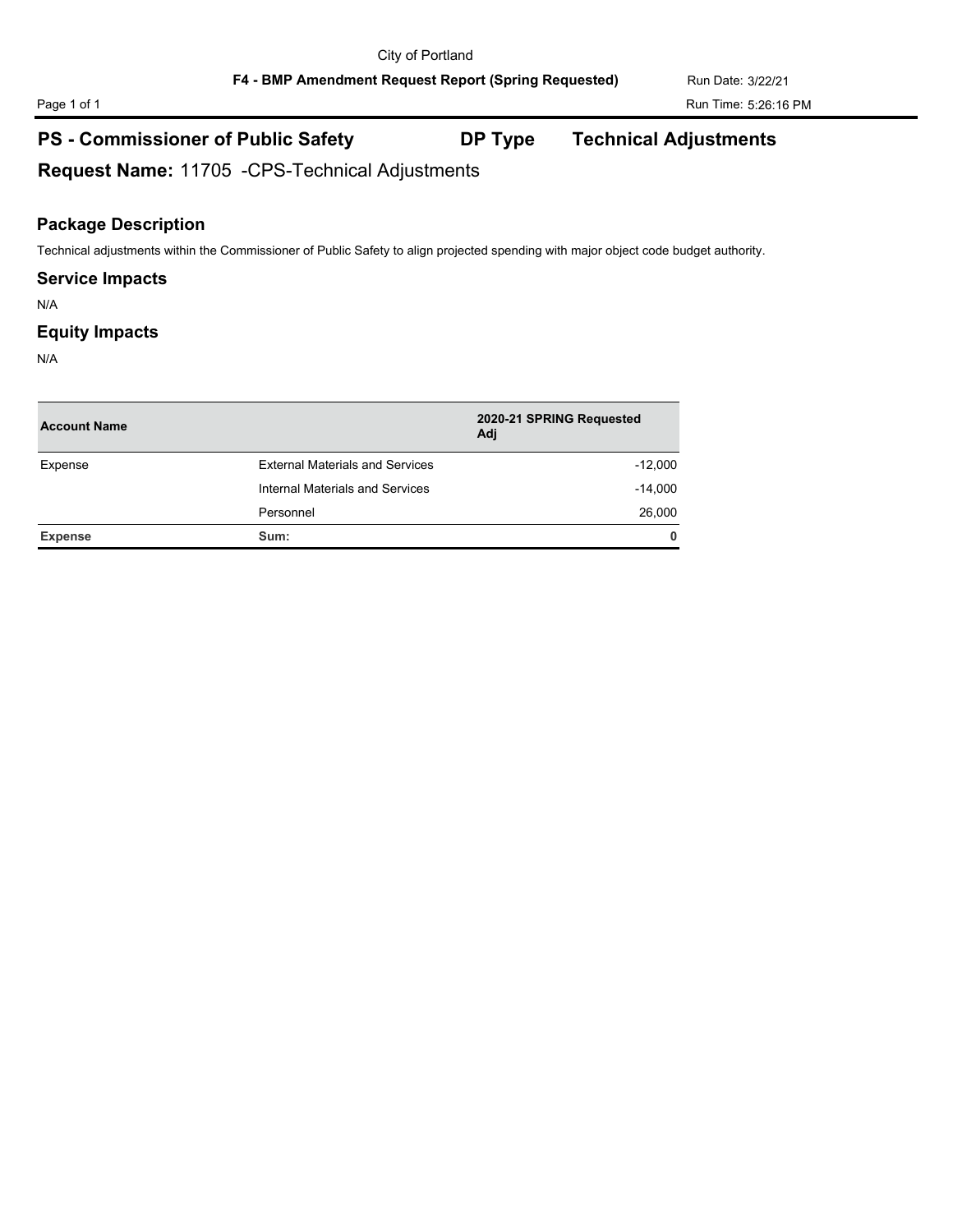**F4 - BMP Amendment Request Report (Spring Requested)** Run Date: 3/22/21

# **PS - Commissioner of Public Safety DP Type Technical Adjustments**

**Request Name:** 11705 -CPS-Technical Adjustments

# **Package Description**

Technical adjustments within the Commissioner of Public Safety to align projected spending with major object code budget authority.

## **Service Impacts**

N/A

## **Equity Impacts**

N/A

| <b>Account Name</b> |                                        | 2020-21 SPRING Requested<br>Adj |
|---------------------|----------------------------------------|---------------------------------|
| Expense             | <b>External Materials and Services</b> | $-12,000$                       |
|                     | Internal Materials and Services        | $-14,000$                       |
|                     | Personnel                              | 26,000                          |
| Expense             | Sum:                                   | $\mathbf{0}$                    |